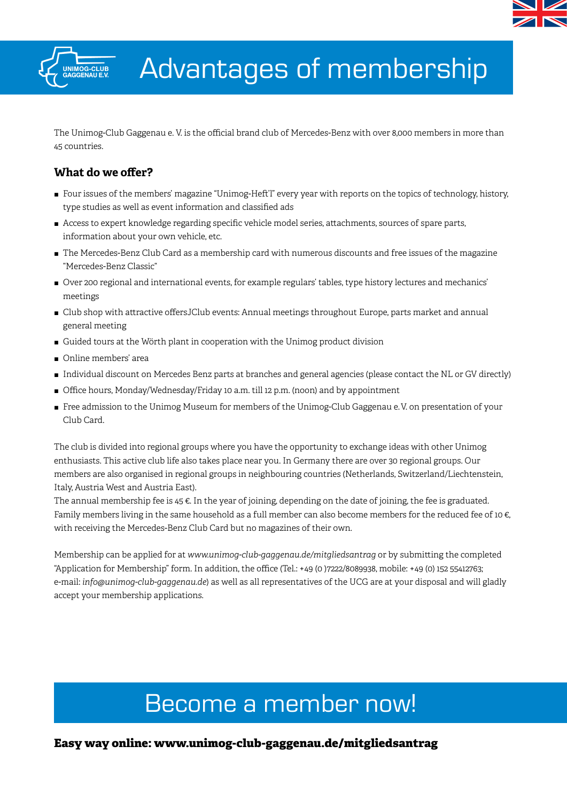



# Advantages of membership

The Unimog-Club Gaggenau e. V. is the official brand club of Mercedes-Benz with over 8,000 members in more than 45 countries.

### **What do we offer?**

- $\blacksquare$  Four issues of the members' magazine "Unimog-Heft'l" every year with reports on the topics of technology, history, type studies as well as event information and classified ads
- $\blacksquare$  Access to expert knowledge regarding specific vehicle model series, attachments, sources of spare parts, information about your own vehicle, etc.
- The Mercedes-Benz Club Card as a membership card with numerous discounts and free issues of the magazine "Mercedes-Benz Classic"
- J Over 200 regional and international events, for example regulars' tables, type history lectures and mechanics' meetings
- I Club shop with attractive offersJClub events: Annual meetings throughout Europe, parts market and annual general meeting
- Guided tours at the Wörth plant in cooperation with the Unimog product division
- Online members' area
- $\blacksquare$  Individual discount on Mercedes Benz parts at branches and general agencies (please contact the NL or GV directly)
- Office hours, Monday/Wednesday/Friday 10 a.m. till 12 p.m. (noon) and by appointment
- Free admission to the Unimog Museum for members of the Unimog-Club Gaggenau e. V. on presentation of your Club Card.

The club is divided into regional groups where you have the opportunity to exchange ideas with other Unimog enthusiasts. This active club life also takes place near you. In Germany there are over 30 regional groups. Our members are also organised in regional groups in neighbouring countries (Netherlands, Switzerland/Liechtenstein, Italy, Austria West and Austria East).

The annual membership fee is 45 €. In the year of joining, depending on the date of joining, the fee is graduated. Family members living in the same household as a full member can also become members for the reduced fee of 10  $\epsilon$ , with receiving the Mercedes-Benz Club Card but no magazines of their own.

Membership can be applied for at *www.unimog-club-gaggenau.de/mitgliedsantrag* or by submitting the completed "Application for Membership" form. In addition, the office (Tel.: +49 (0 )7222/8089938, mobile: +49 (0) 152 55412763; e-mail: *info@unimog-club-gaggenau.de*) as well as all representatives of the UCG are at your disposal and will gladly accept your membership applications.

## Become a member now!

**Easy way online: www.unimog-club-gaggenau.de/mitgliedsantrag**